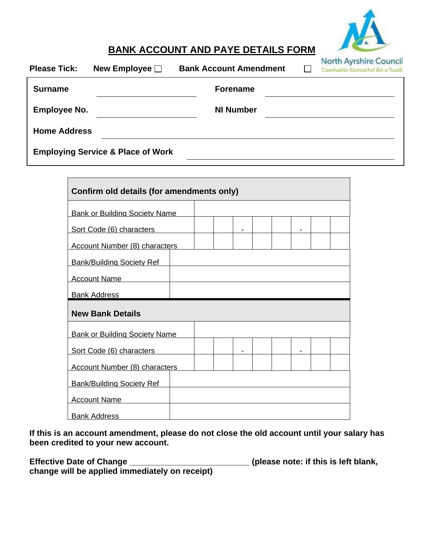

## **BANK ACCOUNT AND PAYE DETAILS FORM**

| <b>Please Tick:</b> | New Employee $\square$                       | <b>Bank Account Amendment</b> | North Ayrshire Council<br>Comhairle Siorrachd Air a Tuath |
|---------------------|----------------------------------------------|-------------------------------|-----------------------------------------------------------|
| <b>Surname</b>      |                                              | <b>Forename</b>               |                                                           |
| <b>Employee No.</b> |                                              | <b>NI Number</b>              |                                                           |
| <b>Home Address</b> |                                              |                               |                                                           |
|                     | <b>Employing Service &amp; Place of Work</b> |                               |                                                           |

| Confirm old details (for amendments only) |  |  |  |  |  |  |  |  |
|-------------------------------------------|--|--|--|--|--|--|--|--|
| <b>Bank or Building Society Name</b>      |  |  |  |  |  |  |  |  |
| Sort Code (6) characters                  |  |  |  |  |  |  |  |  |
| <b>Account Number (8) characters</b>      |  |  |  |  |  |  |  |  |
| <b>Bank/Building Society Ref</b>          |  |  |  |  |  |  |  |  |
| <b>Account Name</b>                       |  |  |  |  |  |  |  |  |
|                                           |  |  |  |  |  |  |  |  |
| <b>Bank Address</b>                       |  |  |  |  |  |  |  |  |
| <b>New Bank Details</b>                   |  |  |  |  |  |  |  |  |
| <b>Bank or Building Society Name</b>      |  |  |  |  |  |  |  |  |
| Sort Code (6) characters                  |  |  |  |  |  |  |  |  |
| <b>Account Number (8) characters</b>      |  |  |  |  |  |  |  |  |
| <b>Bank/Building Society Ref</b>          |  |  |  |  |  |  |  |  |
| <b>Account Name</b>                       |  |  |  |  |  |  |  |  |

**If this is an account amendment, please do not close the old account until your salary has been credited to your new account.**

**Effective Date of Change \_\_\_\_\_\_\_\_\_\_\_\_\_\_\_\_\_\_\_\_\_\_\_\_\_\_ (please note: if this is left blank,** 

**change will be applied immediately on receipt)**